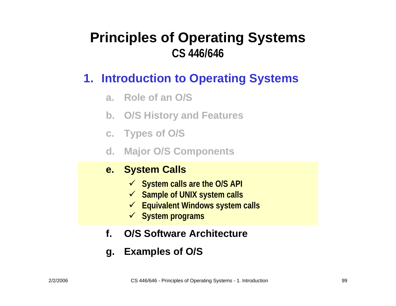#### **1. Introduction to Operating Systems**

- **a. Role of an O/S**
- **b. O/S History and Features**
- **c. Types of O / S**
- **d. Major O/S Components**

#### **e. System Calls**

- 9 **System calls are the O/S API**
- 9 **Sample of UNIX system calls**
- 9 **Equivalent Windows system calls**
- 9 **System programs**
- **f.O/S Software Architecture**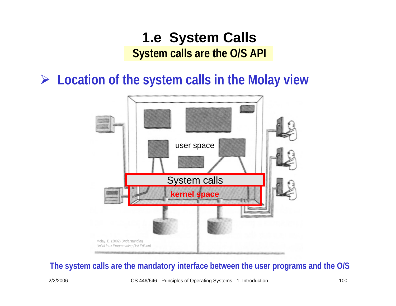¾ **Location of the system calls in the Molay view**



#### **The system calls are the mandatory interface between the user programs and the O/S**

2/2/2006 CS 446/646 - Principles of Operating Systems - 1. Introduction 100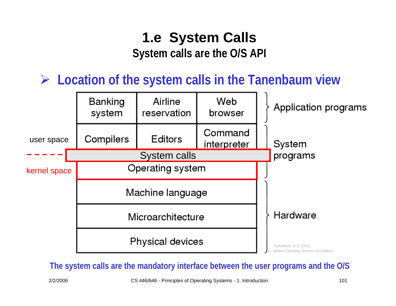¾ **Location of the system calls in the Tanenbaum view**



**The system calls are the mandatory interface between the user programs and the O/S**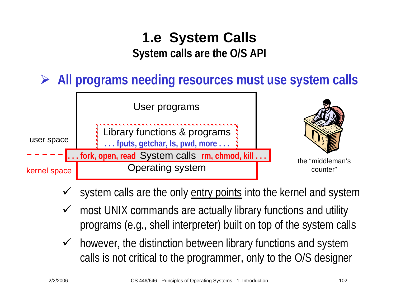¾ **All programs needing resources must use system calls**



- $\checkmark$ system calls are the only entry points into the kernel and system
- $\checkmark$  most UNIX commands are actually library functions and utility programs (e.g., shell interpreter) built on top of the system calls
- $\checkmark$  however, the distinction between library functions and system calls is not critical to the programmer, only to the O/S designer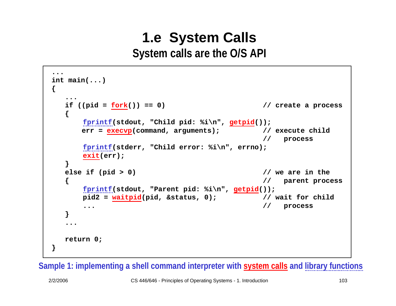```
...int main(...)
{
   ...if ((pid = fork()) == 0) // create a process
  {
      fprintf(stdout, "Child pid: %i\n", getpid());
      err = execvp(command, arguments); // execute child
                                            // process
      fprintf(stderr, "Child error: %i\n", errno);
      exit(err);
  }
  else if (pid > 0) // we are in the
                                            { // parent process
      fprintf(stdout, "Parent pid: %i\n", getpid());
      pid2 = waitpid(pid, &status, 0); // wait for child
      ... // process
  }
   ...return 0;
}
```
**Sample 1: imple menting a shell command interpreter with system calls and library functions**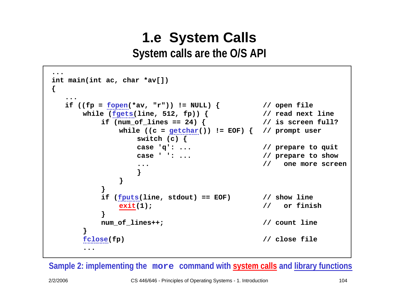```
...int main(int ac, char *av[])
{
  ...if ((fp = fopen(*av, "r")) != NULL) { // open file
     while (fgets(line, 512, fp)) { // read next line
         if (num_of_lines == 24) 
{ // is screen full?
            while ((c = getchar()) != EOF) { // prompt user
                switch (c) {
               case 'q': ... // prepare to quit
               case ' ': ... // prepare to show
                ... // one more screen
                }
            }
         }
         if (fputs(line, stdout) == EOF) // show line
            exit(1); // or finish
         }
         num_of_lines++; // count line
     }
     fclose(fp) // close file
      ...
```
**Sample 2: imple menting the more command with system calls and library functions**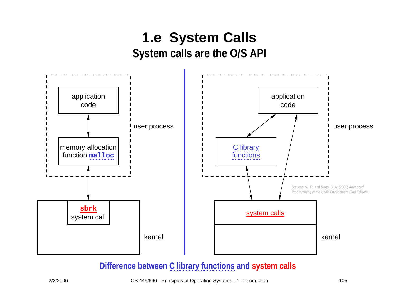

**Difference between C library functions and system calls**

2/2/2006 CS 446/646 - Principles of Operating Systems - 1. Introduction 105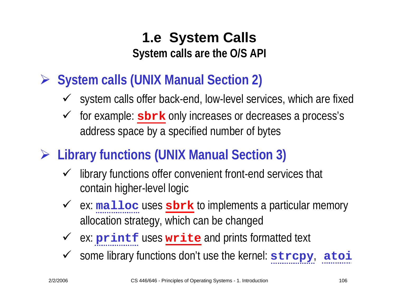- ¾ **System calls (UNIX Manual Section 2)**
	- $\checkmark$  system calls offer back-end, low-level services, which are fixed
	- $\checkmark$  for example: **sbrk** only increases or decreases a process's address space by a specified number of bytes
- ¾ **Library functions (UNIX Manual Section 3)**
	- $\checkmark$  library functions offer convenient front-end services that contain higher-level logic
	- ◆ ex: malloc uses sbrk to implements a particular memory allocation strategy, which can be changed
	- ◆ ex: **printf** uses **write** and prints formatted text
	- $\checkmark$ some library functions don't use the kernel: **strcpy**, **atoi**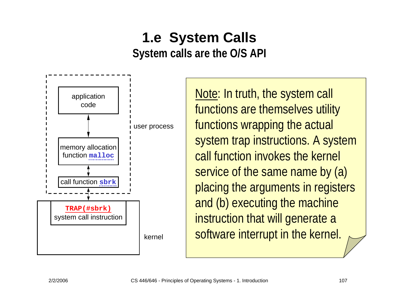

Note: In truth, the system call functions are themselves utility functions wrapping the actual system trap instructions. A system call function invokes the kernel service of the same name by (a) placing the arguments in registers and (b) executing the machine instruction that will generate a software interrupt in the kernel.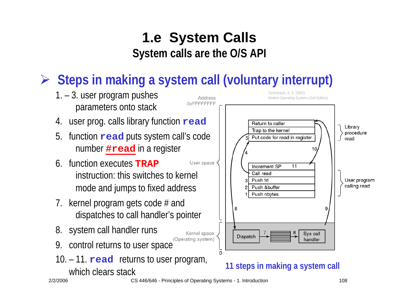# ¾ **Steps in making a system call (voluntary interrupt)**



2/2/2006

CS 446/646 - Principles of Operating Systems - 1. Introduction 108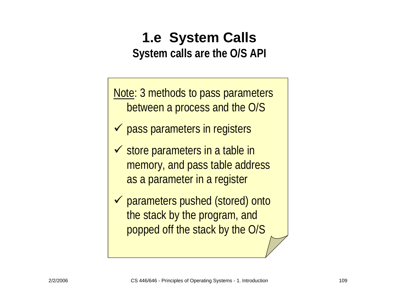Note: 3 methods to pass parameters between a process and the O/S

- $\checkmark$  pass parameters in registers
- $\checkmark$  store parameters in a table in memory, and pass table address as a parameter in a register
- ◆ parameters pushed (stored) onto the stack by the program, and popped off the stack by the O/S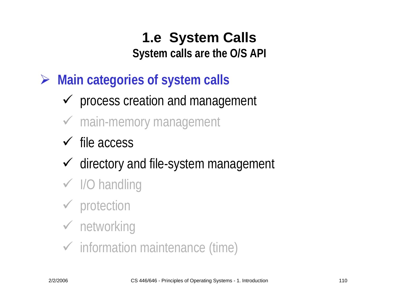¾ **Main categories of system calls**

- $\checkmark$  process creation and management
- $\checkmark$  main-memory management
- $\checkmark$  file access
- $\checkmark$  directory and file-system management
- $\checkmark$  I/O handling
- $\checkmark$  protection

# $\checkmark$  networking

 $\checkmark$  information maintenance (time)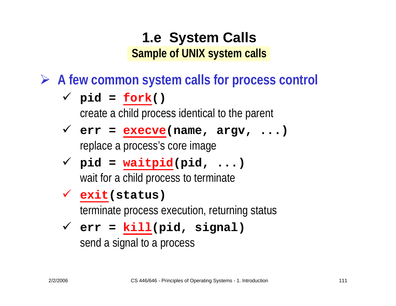¾ **A few common system calls for process control**

$$
\checkmark \text{ pid} = \underline{\text{fork}}()
$$

create a child process identical to the parent

- 9 **err = execve(name, argv, ...)** replace a process's core image
- 9 **pid = waitpid(pid, ...)** wait for a child process to terminate

#### 9 **exit(status)**

terminate process execution, returning status

#### 9 **err = kill(pid, signal)**

send a signal to a process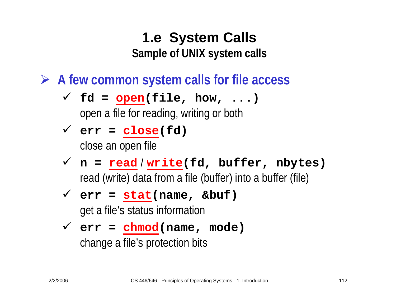¾ **A few common system calls for file access**

- $\checkmark$  fd = open(file, how, ...) open a file for reading, writing or both
- $\checkmark$  err = close(fd) close an open file
- 9 **n = read** / **write(fd, buffer, nbytes)** read (write) data from a file (buffer) into a buffer (file)
- 9 **err = stat(name, &buf)** get a file's status information
- 9 **err = chmod(name, mode)** change a file's protection bits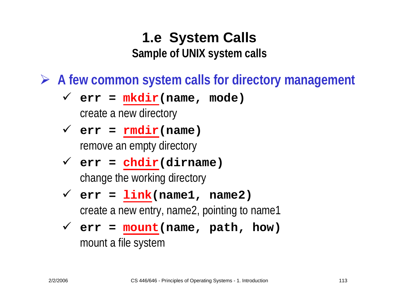¾ **A few common system calls for directory management**

- $\checkmark$  err =  $mkdir(name, mode)$ create a new directory
- $\checkmark$  err = rmdir(name) remove an empty directory
- 9 **err = chdir(dirname)** change the working directory
- $\checkmark$  err =  $link(name1, name2)$ create a new entry, name2, pointing to name1

$$
\checkmark \text{ err} = \text{mount}(\text{name}, \text{path}, \text{how})
$$
\nmount a file system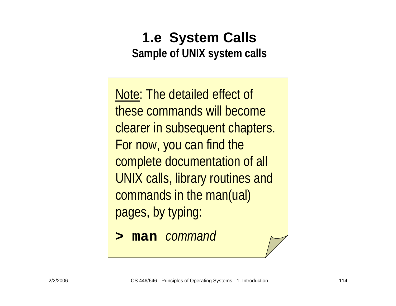Note: The detailed effect of these commands will become clearer in subsequent chapters. For now, you can find the complete documentation of all UNIX calls, library routines and commands in the man(ual) pages, by typing:

**> man** *command*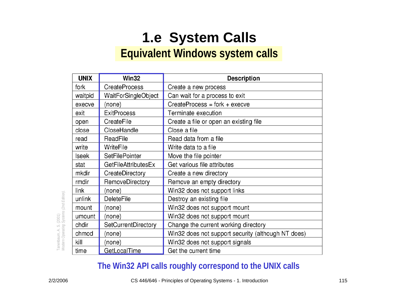# **1.e System Calls**

#### **Equivalent Windows system calls**

| <b>UNIX</b>  | Win32                      | <b>Description</b>                                 |  |  |
|--------------|----------------------------|----------------------------------------------------|--|--|
| fork         | <b>CreateProcess</b>       | Create a new process                               |  |  |
| waitpid      | WaitForSingleObject        | Can wait for a process to exit                     |  |  |
| execve       | (none)                     | CreateProcess = fork + execve                      |  |  |
| exit         | <b>ExitProcess</b>         | Terminate execution                                |  |  |
| open         | CreateFile                 | Create a file or open an existing file             |  |  |
| close        | CloseHandle                | Close a file                                       |  |  |
| read         | ReadFile                   | Read data from a file                              |  |  |
| write        | WriteFile                  | Write data to a file                               |  |  |
| <b>Iseek</b> | <b>SetFilePointer</b>      | Move the file pointer                              |  |  |
| stat         | <b>GetFileAttributesEx</b> | Get various file attributes                        |  |  |
| mkdir        | CreateDirectory            | Create a new directory                             |  |  |
| rmdir        | RemoveDirectory            | Remove an empty directory                          |  |  |
| link         | (none)                     | Win32 does not support links                       |  |  |
| unlink       | <b>DeleteFile</b>          | Destroy an existing file                           |  |  |
| mount        | (none)                     | Win32 does not support mount                       |  |  |
| umount       | (none)                     | Win32 does not support mount                       |  |  |
| chdir        | SetCurrentDirectory        | Change the current working directory               |  |  |
| chmod        | (none)                     | Win32 does not support security (although NT does) |  |  |
| kill         | (none)                     | Win32 does not support signals                     |  |  |
| time         | GetLocalTime               | Get the current time                               |  |  |

#### **The Win32 API calls roughly correspond to the UNIX calls**

*Modern Operating Systems (2nd Edition).*  Tanenbaum, A. S. (2001)<br>Modern Operating Systems (2nd Edition). Tanenbaum, A. S. (2001)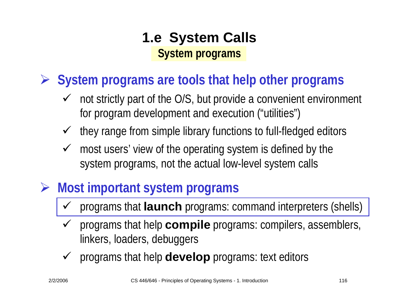¾ **System programs are tools that help other programs**

- $\checkmark$  not strictly part of the O/S, but provide a convenient environment for program development and execution ("utilities")
- $\checkmark$ they range from simple library functions to full-fledged editors
- $\checkmark$  most users' view of the operating system is defined by the system programs, not the actual low-level system calls
- ¾ **Most important system programs**
	- $\checkmark$ programs that **launch** programs: command interpreters (shells)
	- $\checkmark$  programs that help **compile** programs: compilers, assemblers, linkers, loaders, debuggers
	- $\checkmark$ programs that help **develop** programs: text editors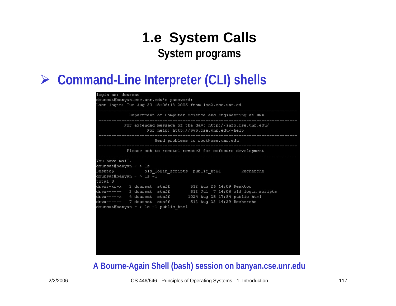#### ¾ **Command-Line Interpreter (CLI) shells**

| login as: doursat<br>doursat@banyan.cse.unr.edu's password:<br>ast login: Tue Aug 30 18:06:13 2005 from loa2.cse.unr.ed.                     |  |  |  |  |  |  |  |  |  |
|----------------------------------------------------------------------------------------------------------------------------------------------|--|--|--|--|--|--|--|--|--|
| Department of Computer Science and Engineering at UNR                                                                                        |  |  |  |  |  |  |  |  |  |
| For extended message of the day: http://info.cse.unr.edu/<br>For help: http://www.cse.unr.edu/~help<br>------------------------------------- |  |  |  |  |  |  |  |  |  |
| Send problems to root@cse.unr.edu                                                                                                            |  |  |  |  |  |  |  |  |  |
| Please ssh to remote1-remote3 for software development                                                                                       |  |  |  |  |  |  |  |  |  |
| You have mail.<br>doursat@banyan ~ > 1s<br>esktop     old login scripts public html     Recherche (<br>doursat@banyan ~ > 1s -1<br>cotal 8   |  |  |  |  |  |  |  |  |  |
| irwxr-xr-x 2 doursat staff - 512 Aug 26 14:09 Desktop                                                                                        |  |  |  |  |  |  |  |  |  |
| drwx------ 2 doursat staff 512 Jul 7 14:06 old login scripts<br>drwx-----x 4 doursat staff         1024 Aug 28 17:54 public html             |  |  |  |  |  |  |  |  |  |
| irwx------ 7 doursat staff 512 Aug 22 14:29 Recherche                                                                                        |  |  |  |  |  |  |  |  |  |
| doursat@banyan ~ > 1s -1 public html                                                                                                         |  |  |  |  |  |  |  |  |  |
|                                                                                                                                              |  |  |  |  |  |  |  |  |  |

#### **A Bourne-Again Shell (bash) session on banyan.cse.unr.edu**

2/2/2006 CS 446/646 - Principles of Operating Systems - 1. Introduction 117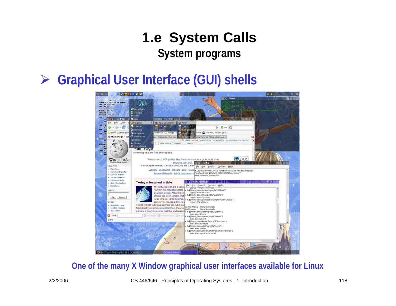#### ¾**Graphical User Interface (GUI) shells**



#### **One of the many X Window graphical user interfaces available for Linux**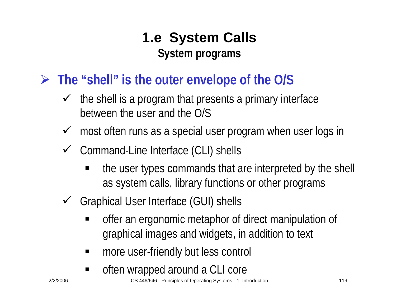### ¾ **The "shell" is the outer envelope of the O/S**

- $\checkmark$  the shell is a program that presents a primary interface between the user and the O/S
- $\checkmark$  most often runs as a special user program when user logs in
- $\checkmark$  Command-Line Interface (CLI) shells
	- the user types commands that are interpreted by the shell as system calls, library functions or other programs
- $\checkmark$  Graphical User Interface (GUI) shells
	- $\blacksquare$  offer an ergonomic metaphor of direct manipulation of graphical images and widgets, in addition to text
	- $\blacksquare$ more user-friendly but less control
	- E often wrapped around a CLI core

2/2/2006 CS 446/646 - Principles of Operating Systems - 1. Introduction 119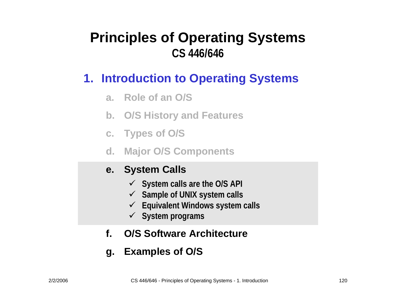#### **1. Introduction to Operating Systems**

- **a. Role of an O/S**
- **b. O/S History and Features**
- **c. Types of O / S**
- **d. Major O/S Components**

#### **e. System Calls**

- 9 **System calls are the O/S API**
- 9 **Sample of UNIX system calls**
- 9 **Equivalent Windows system calls**
- 9 **System programs**
- **f.O/S Software Architecture**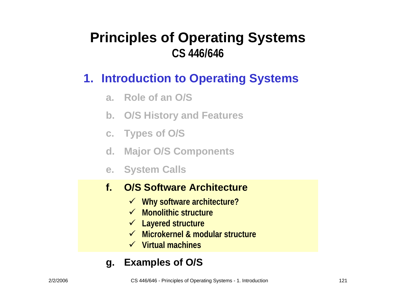#### **1. Introduction to Operating Systems**

- **a. Role of an O/S**
- **b. O/S History and Features**
- **c. Types of O / S**
- **d. Major O/S Components**
- **e. System Calls**

#### **f.O/S Software Architecture**

- 9 **Why software architecture?**
- 9 **Monolithic structure**
- 9 **Layered structure**
- **<del>✓</del> Microkernel & modular structure**
- 9 **Virtual machines**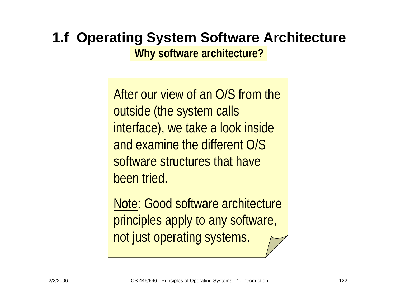# **1.f Operating System Software Architecture**

**Why software architecture?**

After our view of an O/S from the outside (the system calls interface), we take a look inside and examine the different O/S software structures that have been tried.

Note: Good software architecture principles apply to any software, not just operating systems.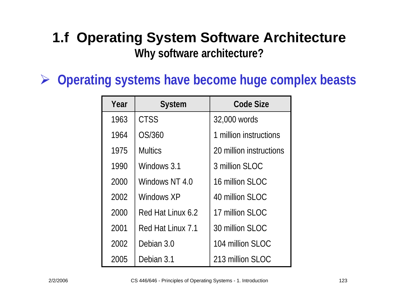#### **1.f Operating System Software Architecture Why software architecture?**

¾ **Operating systems have become huge complex beasts**

| Year | <b>System</b>     | Code Size               |  |
|------|-------------------|-------------------------|--|
| 1963 | <b>CTSS</b>       | 32,000 words            |  |
| 1964 | OS/360            | 1 million instructions  |  |
| 1975 | <b>Multics</b>    | 20 million instructions |  |
| 1990 | Windows 3.1       | 3 million SLOC          |  |
| 2000 | Windows NT 4.0    | 16 million SLOC         |  |
| 2002 | Windows XP        | 40 million SLOC         |  |
| 2000 | Red Hat Linux 6.2 | 17 million SLOC         |  |
| 2001 | Red Hat Linux 7.1 | 30 million SLOC         |  |
| 2002 | Debian 3.0        | 104 million SLOC        |  |
| 2005 | Debian 3.1        | 213 million SLOC        |  |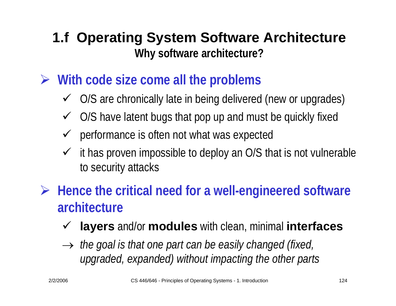### **1.f Operating System Software Architecture Why software architecture?**

- ¾ **With code size come all the problems**
	- $\checkmark$  O/S are chronically late in being delivered (new or upgrades)
	- $\checkmark$  O/S have latent bugs that pop up and must be quickly fixed
	- $\sqrt{ }$ performance is often not what was expected
	- $\checkmark$  it has proven impossible to deploy an O/S that is not vulnerable to security attacks
- ¾ **Hence the critical need for a well-engineered software architecture**
	- $\checkmark$ **layers** and/or **modules** with clean, minimal **interfaces**
	- → *the goal is that one part can be easily changed (fixed, upgraded, expanded) without impacting the other parts*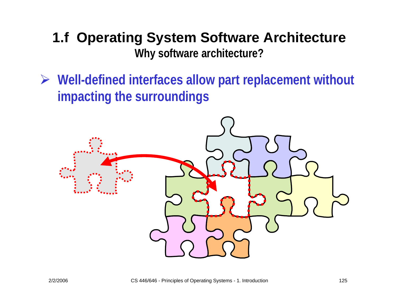### **1.f Operating System Software Architecture Why software architecture?**

¾ **Well-defined interfaces allow part replacement without impacting the surroundings**

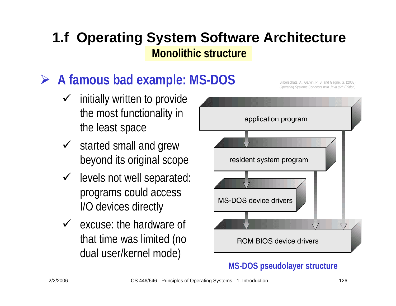# **► A famous bad example: MS-DOS** Silberschatz, A., Galvin, P. B. and Gagne. G. (2003)

- $\checkmark$  initially written to provide the most functionality in the least space
- $\checkmark$  started small and grew beyond its original scope
- $\checkmark$  levels not well separated: programs could access I/O devices directly
- $\checkmark$  excuse: the hardware of that time was limited (no dual user/kernel mode)



#### **MS-DOS pseudolayer structure**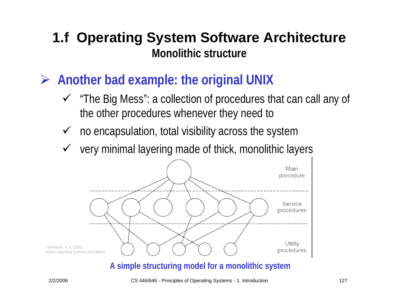- ¾ **Another bad example: the original UNIX**
	- $\checkmark$  "The Big Mess": a collection of procedures that can call any of the other procedures whenever they need to
	- $\checkmark$  no encapsulation, total visibility across the system
	- $\checkmark$ very minimal layering made of thick, monolithic layers



**A simple structuring model for a monolithic system**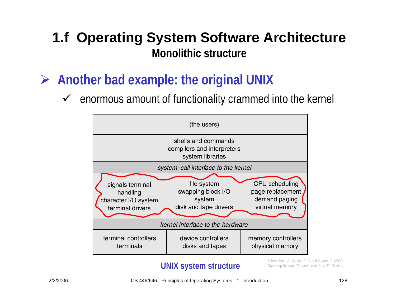- ¾ **Another bad example: the original UNIX**
	- $\checkmark$ enormous amount of functionality crammed into the kernel



#### **UNIX system structure**

Silberschatz, A., Galvin, P. B. and Gagne. G. (2003) *Operating Systems Concepts with Java (6th Edition).* 

2/2/2006 CS 446/646 - Principles of Operating Systems - 1. Introduction 128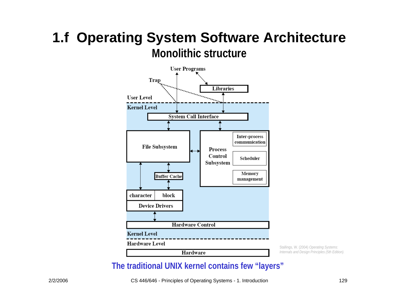

Stallings, W. (2004) *Operating Systems: Internals and Design Principles (5th Edition).* 

#### **The traditional UNIX kernel contains few "layers"**

2/2/2006 CS 446/646 - Principles of Operating Systems - 1. Introduction 129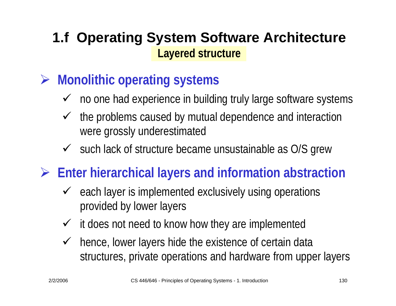- ¾ **Monolithic operating systems**
	- $\checkmark$  no one had experience in building truly large software systems
	- $\sqrt{ }$  the problems caused by mutual dependence and interaction were grossly underestimated
	- $\checkmark$  such lack of structure became unsustainable as O/S grew
- ¾ **Enter hierarchical layers and information abstraction**
	- $\checkmark$  each layer is implemented exclusively using operations provided by lower layers
	- $\checkmark$  it does not need to know how they are implemented
	- $\checkmark$  hence, lower layers hide the existence of certain data structures, private operations and hardware from upper layers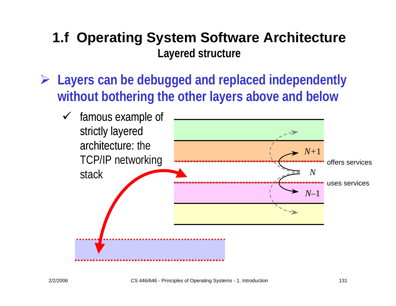¾ **Layers can be debugged and replaced independently without bothering the other layers above and below**

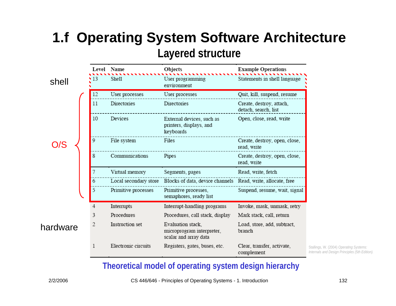|          |    | <b>Level Name</b>     | Objects                                                                 | <b>Example Operations</b>                        |
|----------|----|-----------------------|-------------------------------------------------------------------------|--------------------------------------------------|
| shell    | 13 | Shell                 | User programming<br>environment                                         | Statements in shell language                     |
|          | 12 | User processes        | User processes                                                          | Quit, kill, suspend, resume                      |
|          | 11 | Directories           | Directories                                                             | Create, destroy, attach,<br>detach, search, list |
|          | 10 | Devices               | External devices, such as<br>printers, displays, and<br>keyboards       | Open, close, read, write                         |
| /S       | 9  | File system           | Files                                                                   | Create, destroy, open, close,<br>read, write     |
|          | 8  | Communications        | Pipes                                                                   | Create, destroy, open, close,<br>read, write     |
|          | 7  | Virtual memory        | Segments, pages                                                         | Read, write, fetch                               |
|          | 6  | Local secondary store | Blocks of data, device channels Read, write, allocate, free             |                                                  |
|          | 5  | Primitive processes   | Primitive processes,<br>semaphores, ready list                          | Suspend, resume, wait, signal                    |
|          | 4  | Interrupts            | Interrupt-handling programs                                             | Invoke, mask, unmask, retry                      |
|          | 3  | Procedures            | Procedures, call stack, display                                         | Mark stack, call, return                         |
| hardware | 2  | Instruction set       | Evaluation stack,<br>microprogram interpreter,<br>scalar and array data | Load, store, add, subtract,<br>branch            |
|          | 1  | Electronic circuits   | Registers, gates, buses, etc.                                           | Clear, transfer, activate,<br>complement         |

Stallings, W. (2004) *Operating Systems: Internals and Design Principles (5th Edition).* 

#### **Theoretical model of operating system design hierarchy**

2/2/2006 CS 446/646 - Principles of Operating Systems - 1. Introduction 132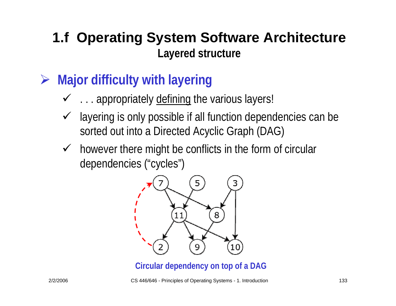- ¾ **Major difficulty with layering**
	- $\checkmark$  ... appropriately defining the various layers!
	- $\checkmark$  layering is only possible if all function dependencies can be sorted out into a Directed Acyclic Graph (DAG)
	- $\checkmark$  however there might be conflicts in the form of circular dependencies ("cycles")



**Circular dependency on top of a DAG**

2/2/2006 CS 446/646 - Principles of Operating Systems - 1. Introduction 133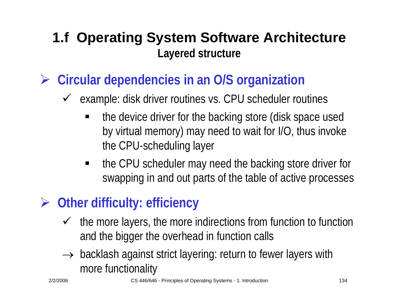- ¾ **Circular dependencies in an O/S organization**
	- $\sqrt{ }$  example: disk driver routines vs. CPU scheduler routines
		- ٠ the device driver for the backing store (disk space used by virtual memory) may need to wait for I/O, thus invoke the CPU-scheduling layer
		- $\blacksquare$  the CPU scheduler may need the backing store driver for swapping in and out parts of the table of active processes

# ¾ **Other difficulty: efficiency**

- $\sqrt{ }$  the more layers, the more indirections from function to function and the bigger the overhead in function calls
- $\rightarrow$  backlash against strict layering: return to fewer layers with more functionality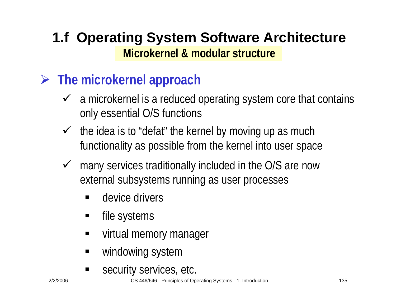### ¾ **The microkernel approach**

- $\checkmark$  a microkernel is a reduced operating system core that contains only essential O/S functions
- $\checkmark$  the idea is to "defat" the kernel by moving up as much functionality as possible from the kernel into user space
- $\checkmark$  many services traditionally included in the O/S are now external subsystems running as user processes
	- ٠ device drivers
	- ٠ file systems
	- $\blacksquare$ virtual memory manager
	- $\blacksquare$ windowing system
	- ٠ security services, etc.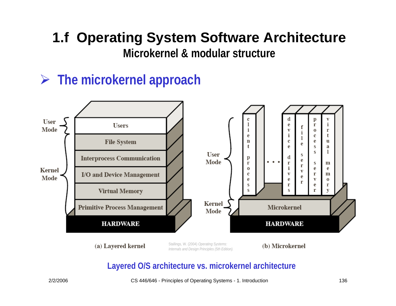# **1.f Operating System Software Architecture**

**Microkernel & modular structure**

### ¾ **The microkernel approach**



(a) Layered kernel

Stallings, W. (2004) *Operating Systems: Internals and Design Principles (5th Edition).* 

(b) Microkernel

#### **Layered O/S architecture vs. microkernel architecture**

2/2/2006 CS 446/646 - Principles of Operating Systems - 1. Introduction 136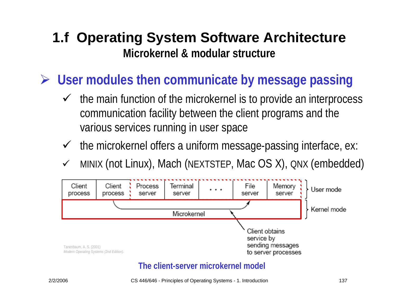¾ **User modules then communicate by message passing**

- $\checkmark$  the main function of the microkernel is to provide an interprocess communication facility between the client programs and the various services running in user space
- $\checkmark$  the microkernel offers a uniform message-passing interface, ex:
- $\checkmark$ MINIX (not Linux), Mach (NEXTSTEP, Mac OS X), QNX (embedded)



#### **The client-server microkernel model**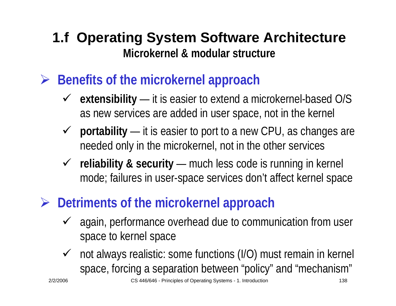- ¾ **Benefits of the microkernel approach**
	- 9 **extensibility** — it is easier to extend a microkernel-based O/S as new services are added in user space, not in the kernel
	- 9 **portability** — $-$  it is easier to port to a new CPU, as changes are needed only in the microkernel, not in the other services
	- 9 **reliability & security** — much less code is running in kernel mode; failures in user-space services don't affect kernel space
- ¾ **Detriments of the microkernel approach**
	- $\checkmark$  again, performance overhead due to communication from user space to kernel space
	- $\sqrt{ }$  not always realistic: some functions (I/O) must remain in kernel space, forcing a separation between "policy" and "mechanism"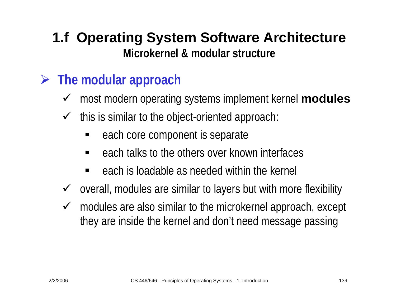### ¾ **The modular approach**

- $\checkmark$ most modern operating systems implement kernel **modules**
- $\sqrt{ }$  this is similar to the object-oriented approach:
	- ٠ each core component is separate
	- ٠ each talks to the others over known interfaces
	- ٠ each is loadable as needed within the kernel
- $\sqrt{ }$ overall, modules are similar to layers but with more flexibility
- $\checkmark$  modules are also similar to the microkernel approach, except they are inside the kernel and don't need message passing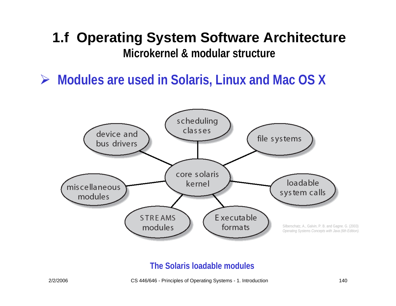¾ **Modules are used in Solaris, Linux and Mac OS X**



#### **The Solaris loadable modules**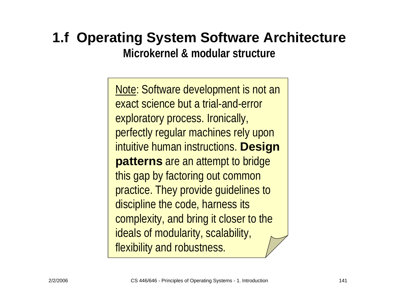# **1.f Operating System Software Architecture**

**Microkernel & modular structure**

Note: Software development is not an exact science but a trial-and-error exploratory process. Ironically, perfectly regular machines rely upon intuitive human instructions. **Design patterns** are an attempt to bridge this gap by factoring out common practice. They provide guidelines to discipline the code, harness its complexity, and bring it closer to the ideals of modularity, scalability, flexibility and robustness.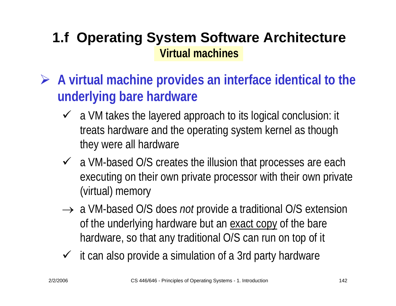- ¾ **A virtual machine provides an interface identical to the underlying bare hardware**
	- $\checkmark$  a VM takes the layered approach to its logical conclusion: it treats hardware and the operating system kernel as though they were all hardware
	- $\checkmark$  a VM-based O/S creates the illusion that processes are each executing on their own private processor with their own private (virtual) memory
	- → a VM-based O/S does *not* provide a traditional O/S extension of the underlying hardware but an exact copy of the bare hardware, so that any traditional O/S can run on top of it
	- $\checkmark$  it can also provide a simulation of a 3rd party hardware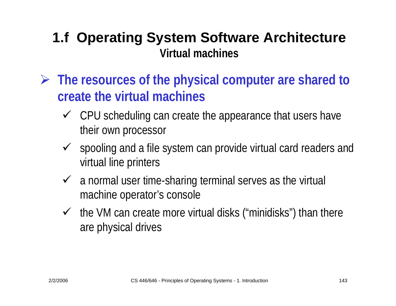- ¾ **The resources of the physical computer are shared to create the virtual machines**
	- $\checkmark$  CPU scheduling can create the appearance that users have their own processor
	- $\checkmark$  spooling and a file system can provide virtual card readers and virtual line printers
	- $\checkmark$  a normal user time-sharing terminal serves as the virtual machine operator's console
	- $\checkmark$  the VM can create more virtual disks ("minidisks") than there are physical drives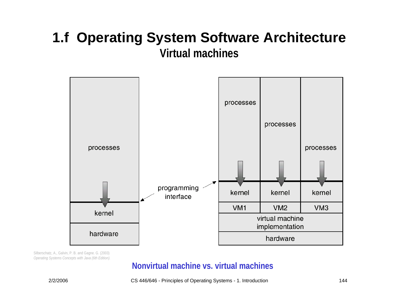

Silberschatz, A., Galvin, P. B. and Gagne. G. (2003) *Operating Systems Concepts with Java (6th Edition).* 

#### **Nonvirtual machine vs. virtual machines**

2/2/2006 CS 446/646 - Principles of Operating Systems - 1. Introduction 144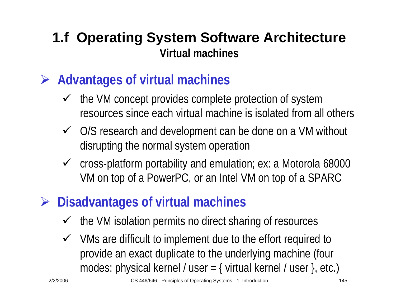- ¾ **Advantages of virtual machines**
	- $\checkmark$  the VM concept provides complete protection of system resources since each virtual machine is isolated from all others
	- $\checkmark$  O/S research and development can be done on a VM without disrupting the normal system operation
	- $\checkmark$  cross-platform portability and emulation; ex: a Motorola 68000 VM on top of a PowerPC, or an Intel VM on top of a SPARC
- ¾ **Disadvantages of virtual machines**
	- $\checkmark$ the VM isolation permits no direct sharing of resources
	- $\checkmark$  VMs are difficult to implement due to the effort required to provide an exact duplicate to the underlying machine (four modes: physical kernel / user =  $\{$  virtual kernel / user  $\}$ , etc.)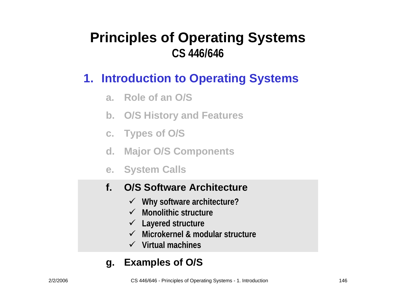#### **1. Introduction to Operating Systems**

- **a. Role of an O/S**
- **b. O/S History and Features**
- **c. Types of O / S**
- **d. Major O/S Components**
- **e. System Calls**

#### **f.O/S Software Architecture**

- 9 **Why software architecture?**
- 9 **Monolithic structure**
- 9 **Layered structure**
- 9 **Microkernel & modular structure**
- 9 **Virtual machines**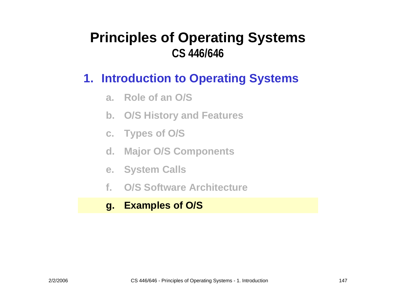#### **1. Introduction to Operating Systems**

- **a. Role of an O/S**
- **b. O/S History and Features**
- **c. Types of O / S**
- **d. Major O/S Components**
- **e. System Calls**
- **f.O/S Software Architecture**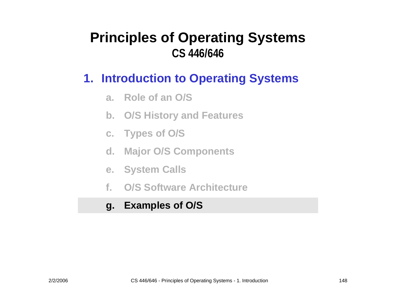#### **1. Introduction to Operating Systems**

- **a. Role of an O/S**
- **b. O/S History and Features**
- **c. Types of O / S**
- **d. Major O/S Components**
- **e. System Calls**
- **f.O/S Software Architecture**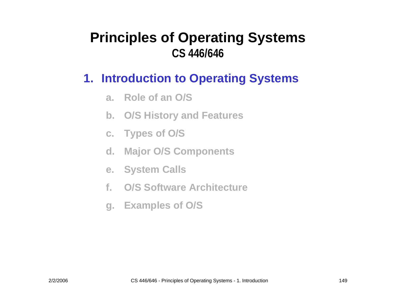#### **1. Introduction to Operating Systems**

- **a. Role of an O/S**
- **b. O/S History and Features**
- **c. Types of O / S**
- **d. Major O/S Components**
- **e. System Calls**
- **f.O/S Software Architecture**
- **g. Examples of O/S**